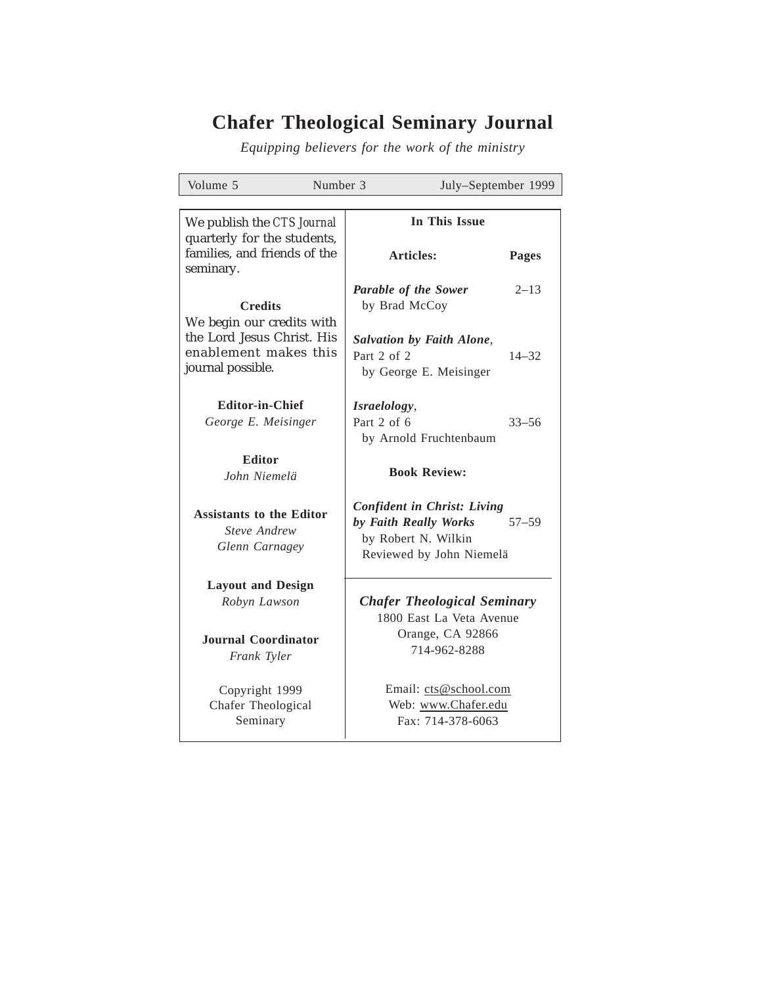# **Chafer Theological Seminary Journal**

*Equipping believers for the work of the ministry*

| Volume 5                                                                 | Number 3                    |                                                                                                                | July-September 1999 |  |
|--------------------------------------------------------------------------|-----------------------------|----------------------------------------------------------------------------------------------------------------|---------------------|--|
|                                                                          |                             |                                                                                                                |                     |  |
| We publish the CTS Journal                                               |                             | <b>In This Issue</b>                                                                                           |                     |  |
| quarterly for the students,<br>families, and friends of the<br>seminary. |                             | <b>Articles:</b>                                                                                               | <b>Pages</b>        |  |
| <b>Credits</b><br>We begin our credits with                              |                             | <b>Parable of the Sower</b><br>by Brad McCoy                                                                   | $2 - 13$            |  |
| the Lord Jesus Christ. His<br>enablement makes this<br>journal possible. | Part 2 of 2                 | Salvation by Faith Alone,<br>by George E. Meisinger                                                            | $14 - 32$           |  |
| <b>Editor-in-Chief</b><br>George E. Meisinger                            | Israelology,<br>Part 2 of 6 | by Arnold Fruchtenbaum                                                                                         | $33 - 56$           |  |
| <b>Editor</b><br>John Niemelä                                            |                             | <b>Book Review:</b>                                                                                            |                     |  |
| <b>Assistants to the Editor</b><br>Steve Andrew<br>Glenn Carnagey        |                             | <b>Confident in Christ: Living</b><br>by Faith Really Works<br>by Robert N. Wilkin<br>Reviewed by John Niemelä | $57 - 59$           |  |
| <b>Layout and Design</b><br>Robyn Lawson                                 |                             | <b>Chafer Theological Seminary</b><br>1800 East La Veta Avenue<br>Orange, CA 92866<br>714-962-8288             |                     |  |
| Journal Coordinator<br>Frank Tyler                                       |                             |                                                                                                                |                     |  |
| Copyright 1999<br>Chafer Theological<br>Seminary                         |                             | Email: cts@school.com<br>Web: www.Chafer.edu<br>Fax: 714-378-6063                                              |                     |  |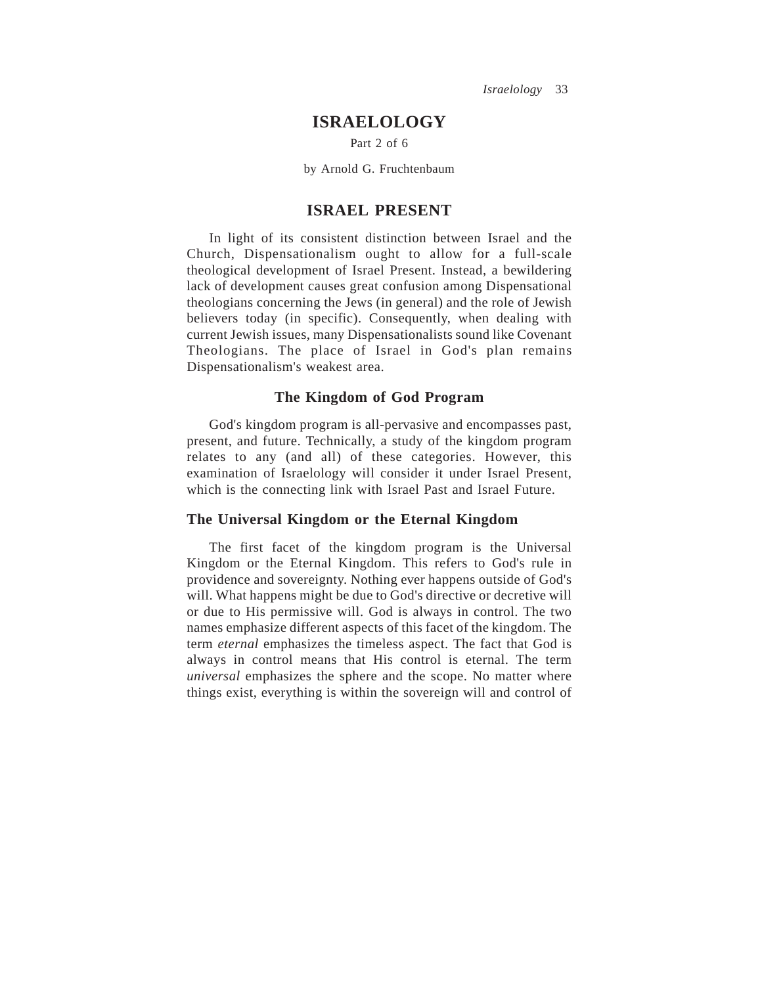*Israelology* 33

# **ISRAELOLOGY**

Part 2 of 6

by Arnold G. Fruchtenbaum

# **ISRAEL PRESENT**

In light of its consistent distinction between Israel and the Church, Dispensationalism ought to allow for a full-scale theological development of Israel Present. Instead, a bewildering lack of development causes great confusion among Dispensational theologians concerning the Jews (in general) and the role of Jewish believers today (in specific). Consequently, when dealing with current Jewish issues, many Dispensationalists sound like Covenant Theologians. The place of Israel in God's plan remains Dispensationalism's weakest area.

## **The Kingdom of God Program**

God's kingdom program is all-pervasive and encompasses past, present, and future. Technically, a study of the kingdom program relates to any (and all) of these categories. However, this examination of Israelology will consider it under Israel Present, which is the connecting link with Israel Past and Israel Future.

## **The Universal Kingdom or the Eternal Kingdom**

The first facet of the kingdom program is the Universal Kingdom or the Eternal Kingdom. This refers to God's rule in providence and sovereignty. Nothing ever happens outside of God's will. What happens might be due to God's directive or decretive will or due to His permissive will. God is always in control. The two names emphasize different aspects of this facet of the kingdom. The term *eternal* emphasizes the timeless aspect. The fact that God is always in control means that His control is eternal. The term *universal* emphasizes the sphere and the scope. No matter where things exist, everything is within the sovereign will and control of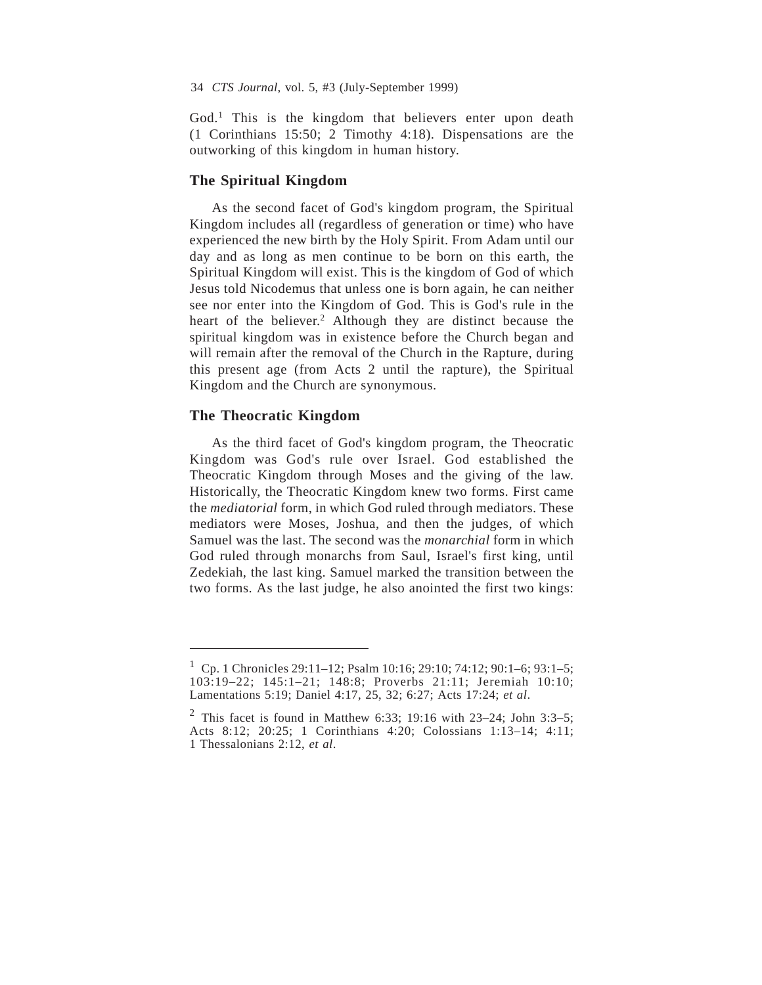God.<sup>1</sup> This is the kingdom that believers enter upon death (1 Corinthians 15:50; 2 Timothy 4:18). Dispensations are the outworking of this kingdom in human history.

## **The Spiritual Kingdom**

As the second facet of God's kingdom program, the Spiritual Kingdom includes all (regardless of generation or time) who have experienced the new birth by the Holy Spirit. From Adam until our day and as long as men continue to be born on this earth, the Spiritual Kingdom will exist. This is the kingdom of God of which Jesus told Nicodemus that unless one is born again, he can neither see nor enter into the Kingdom of God. This is God's rule in the heart of the believer.<sup>2</sup> Although they are distinct because the spiritual kingdom was in existence before the Church began and will remain after the removal of the Church in the Rapture, during this present age (from Acts 2 until the rapture), the Spiritual Kingdom and the Church are synonymous.

### **The Theocratic Kingdom**

As the third facet of God's kingdom program, the Theocratic Kingdom was God's rule over Israel. God established the Theocratic Kingdom through Moses and the giving of the law. Historically, the Theocratic Kingdom knew two forms. First came the *mediatorial* form, in which God ruled through mediators. These mediators were Moses, Joshua, and then the judges, of which Samuel was the last. The second was the *monarchial* form in which God ruled through monarchs from Saul, Israel's first king, until Zedekiah, the last king. Samuel marked the transition between the two forms. As the last judge, he also anointed the first two kings:

<sup>&</sup>lt;sup>1</sup> Cp. 1 Chronicles 29:11–12; Psalm 10:16; 29:10; 74:12; 90:1–6; 93:1–5; 103:19–22; 145:1–21; 148:8; Proverbs 21:11; Jeremiah 10:10; Lamentations 5:19; Daniel 4:17, 25, 32; 6:27; Acts 17:24; *et al*.

<sup>&</sup>lt;sup>2</sup> This facet is found in Matthew 6:33; 19:16 with  $23-24$ ; John 3:3-5; Acts 8:12; 20:25; 1 Corinthians 4:20; Colossians 1:13–14; 4:11; 1 Thessalonians 2:12, *et al*.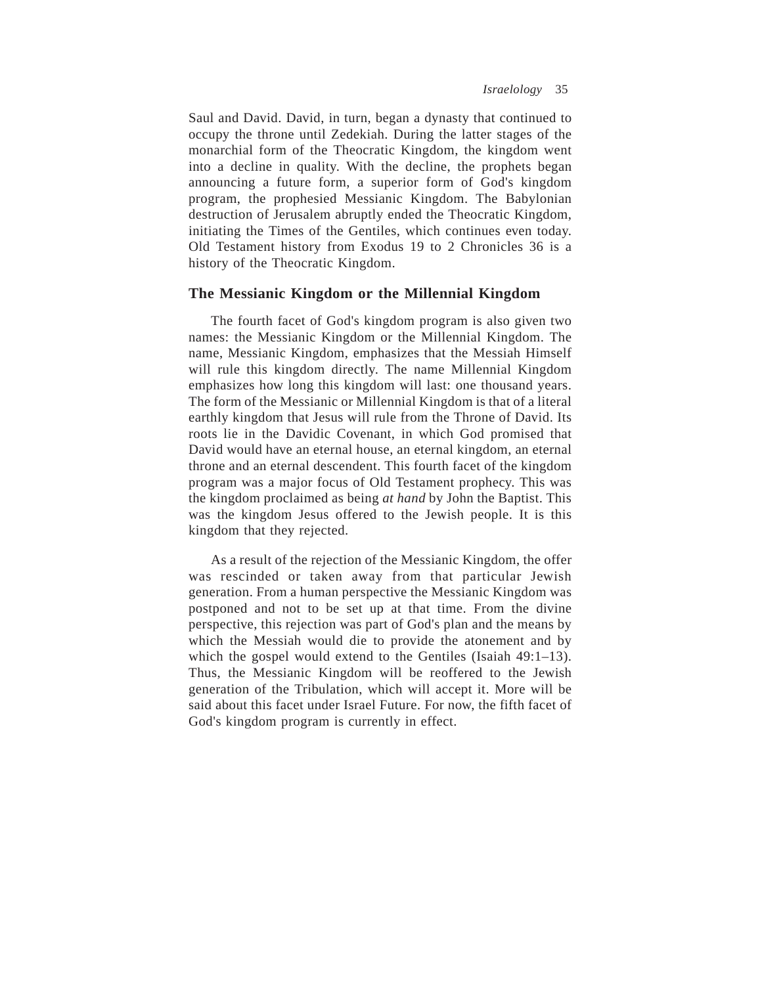Saul and David. David, in turn, began a dynasty that continued to occupy the throne until Zedekiah. During the latter stages of the monarchial form of the Theocratic Kingdom, the kingdom went into a decline in quality. With the decline, the prophets began announcing a future form, a superior form of God's kingdom program, the prophesied Messianic Kingdom. The Babylonian destruction of Jerusalem abruptly ended the Theocratic Kingdom, initiating the Times of the Gentiles, which continues even today. Old Testament history from Exodus 19 to 2 Chronicles 36 is a history of the Theocratic Kingdom.

## **The Messianic Kingdom or the Millennial Kingdom**

The fourth facet of God's kingdom program is also given two names: the Messianic Kingdom or the Millennial Kingdom. The name, Messianic Kingdom, emphasizes that the Messiah Himself will rule this kingdom directly. The name Millennial Kingdom emphasizes how long this kingdom will last: one thousand years. The form of the Messianic or Millennial Kingdom is that of a literal earthly kingdom that Jesus will rule from the Throne of David. Its roots lie in the Davidic Covenant, in which God promised that David would have an eternal house, an eternal kingdom, an eternal throne and an eternal descendent. This fourth facet of the kingdom program was a major focus of Old Testament prophecy. This was the kingdom proclaimed as being *at hand* by John the Baptist. This was the kingdom Jesus offered to the Jewish people. It is this kingdom that they rejected.

As a result of the rejection of the Messianic Kingdom, the offer was rescinded or taken away from that particular Jewish generation. From a human perspective the Messianic Kingdom was postponed and not to be set up at that time. From the divine perspective, this rejection was part of God's plan and the means by which the Messiah would die to provide the atonement and by which the gospel would extend to the Gentiles (Isaiah 49:1–13). Thus, the Messianic Kingdom will be reoffered to the Jewish generation of the Tribulation, which will accept it. More will be said about this facet under Israel Future. For now, the fifth facet of God's kingdom program is currently in effect.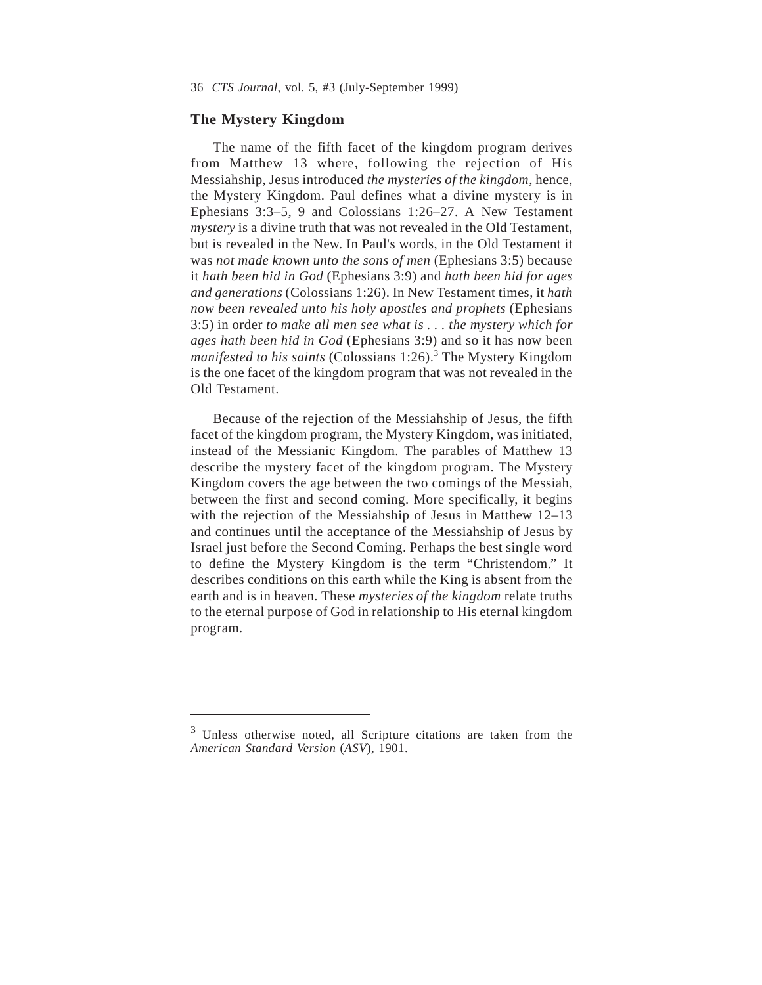#### **The Mystery Kingdom**

The name of the fifth facet of the kingdom program derives from Matthew 13 where, following the rejection of His Messiahship, Jesus introduced *the mysteries of the kingdom*, hence, the Mystery Kingdom. Paul defines what a divine mystery is in Ephesians 3:3–5, 9 and Colossians 1:26–27. A New Testament *mystery* is a divine truth that was not revealed in the Old Testament, but is revealed in the New. In Paul's words, in the Old Testament it was *not made known unto the sons of men* (Ephesians 3:5) because it *hath been hid in God* (Ephesians 3:9) and *hath been hid for ages and generations* (Colossians 1:26). In New Testament times, it *hath now been revealed unto his holy apostles and prophets* (Ephesians 3:5) in order *to make all men see what is . . . the mystery which for ages hath been hid in God* (Ephesians 3:9) and so it has now been *manifested to his saints* (Colossians 1:26).<sup>3</sup> The Mystery Kingdom is the one facet of the kingdom program that was not revealed in the Old Testament.

Because of the rejection of the Messiahship of Jesus, the fifth facet of the kingdom program, the Mystery Kingdom, was initiated, instead of the Messianic Kingdom. The parables of Matthew 13 describe the mystery facet of the kingdom program. The Mystery Kingdom covers the age between the two comings of the Messiah, between the first and second coming. More specifically, it begins with the rejection of the Messiahship of Jesus in Matthew 12–13 and continues until the acceptance of the Messiahship of Jesus by Israel just before the Second Coming. Perhaps the best single word to define the Mystery Kingdom is the term "Christendom." It describes conditions on this earth while the King is absent from the earth and is in heaven. These *mysteries of the kingdom* relate truths to the eternal purpose of God in relationship to His eternal kingdom program.

<sup>&</sup>lt;sup>3</sup> Unless otherwise noted, all Scripture citations are taken from the *American Standard Version* (*ASV*), 1901.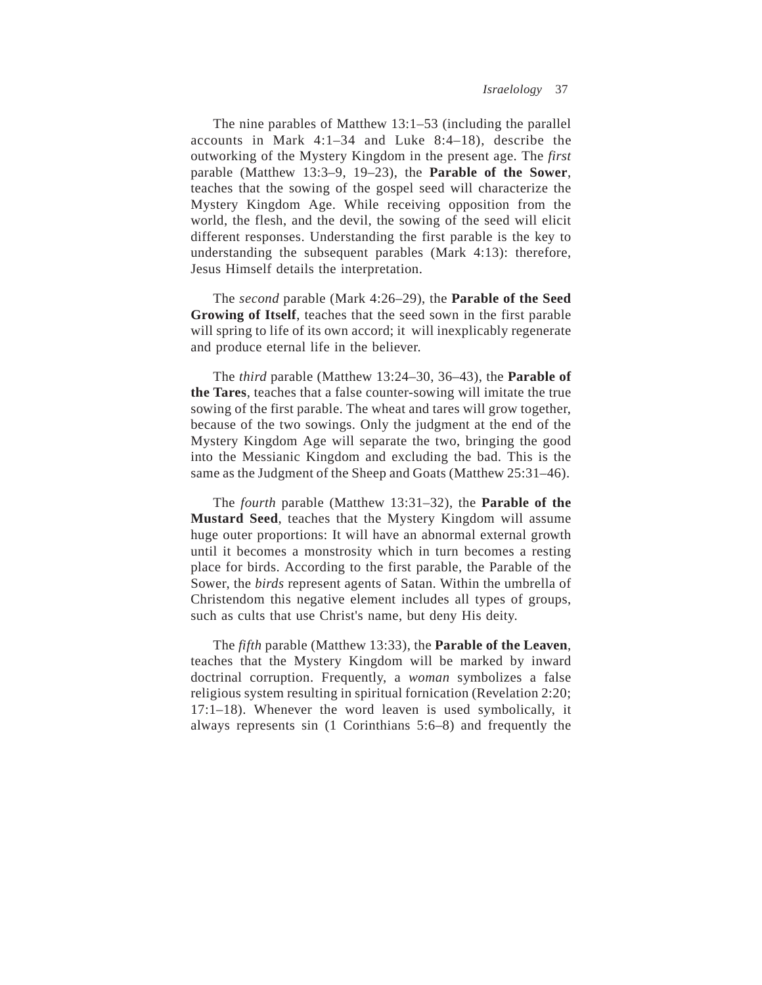The nine parables of Matthew 13:1–53 (including the parallel accounts in Mark 4:1–34 and Luke 8:4–18), describe the outworking of the Mystery Kingdom in the present age. The *first* parable (Matthew 13:3–9, 19–23), the **Parable of the Sower**, teaches that the sowing of the gospel seed will characterize the Mystery Kingdom Age. While receiving opposition from the world, the flesh, and the devil, the sowing of the seed will elicit different responses. Understanding the first parable is the key to understanding the subsequent parables (Mark 4:13): therefore, Jesus Himself details the interpretation.

The *second* parable (Mark 4:26–29), the **Parable of the Seed Growing of Itself**, teaches that the seed sown in the first parable will spring to life of its own accord; it will inexplicably regenerate and produce eternal life in the believer.

The *third* parable (Matthew 13:24–30, 36–43), the **Parable of the Tares**, teaches that a false counter-sowing will imitate the true sowing of the first parable. The wheat and tares will grow together, because of the two sowings. Only the judgment at the end of the Mystery Kingdom Age will separate the two, bringing the good into the Messianic Kingdom and excluding the bad. This is the same as the Judgment of the Sheep and Goats (Matthew 25:31–46).

The *fourth* parable (Matthew 13:31–32), the **Parable of the Mustard Seed**, teaches that the Mystery Kingdom will assume huge outer proportions: It will have an abnormal external growth until it becomes a monstrosity which in turn becomes a resting place for birds. According to the first parable, the Parable of the Sower, the *birds* represent agents of Satan. Within the umbrella of Christendom this negative element includes all types of groups, such as cults that use Christ's name, but deny His deity.

The *fifth* parable (Matthew 13:33), the **Parable of the Leaven**, teaches that the Mystery Kingdom will be marked by inward doctrinal corruption. Frequently, a *woman* symbolizes a false religious system resulting in spiritual fornication (Revelation 2:20; 17:1–18). Whenever the word leaven is used symbolically, it always represents sin (1 Corinthians 5:6–8) and frequently the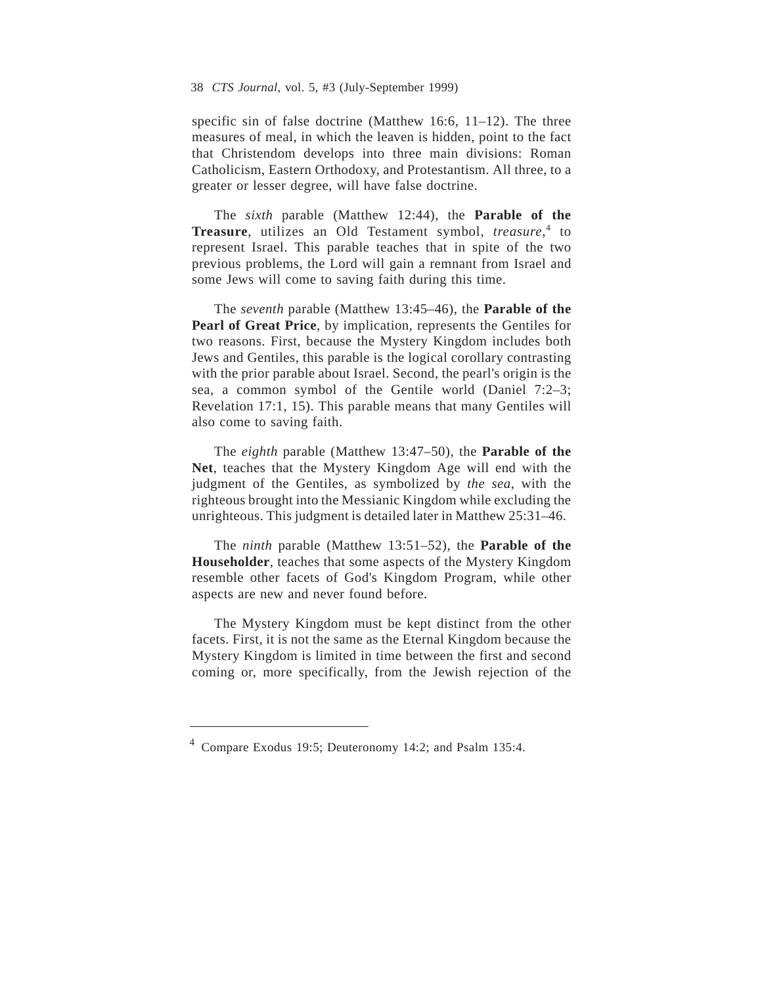specific sin of false doctrine (Matthew 16:6, 11–12). The three measures of meal, in which the leaven is hidden, point to the fact that Christendom develops into three main divisions: Roman Catholicism, Eastern Orthodoxy, and Protestantism. All three, to a greater or lesser degree, will have false doctrine.

The *sixth* parable (Matthew 12:44), the **Parable of the Treasure**, utilizes an Old Testament symbol, *treasure*, <sup>4</sup> to represent Israel. This parable teaches that in spite of the two previous problems, the Lord will gain a remnant from Israel and some Jews will come to saving faith during this time.

The *seventh* parable (Matthew 13:45–46), the **Parable of the Pearl of Great Price**, by implication, represents the Gentiles for two reasons. First, because the Mystery Kingdom includes both Jews and Gentiles, this parable is the logical corollary contrasting with the prior parable about Israel. Second, the pearl's origin is the sea, a common symbol of the Gentile world (Daniel 7:2–3; Revelation 17:1, 15). This parable means that many Gentiles will also come to saving faith.

The *eighth* parable (Matthew 13:47–50), the **Parable of the Net**, teaches that the Mystery Kingdom Age will end with the judgment of the Gentiles, as symbolized by *the sea*, with the righteous brought into the Messianic Kingdom while excluding the unrighteous. This judgment is detailed later in Matthew 25:31–46.

The *ninth* parable (Matthew 13:51–52), the **Parable of the Householder**, teaches that some aspects of the Mystery Kingdom resemble other facets of God's Kingdom Program, while other aspects are new and never found before.

The Mystery Kingdom must be kept distinct from the other facets. First, it is not the same as the Eternal Kingdom because the Mystery Kingdom is limited in time between the first and second coming or, more specifically, from the Jewish rejection of the

<sup>4</sup> Compare Exodus 19:5; Deuteronomy 14:2; and Psalm 135:4.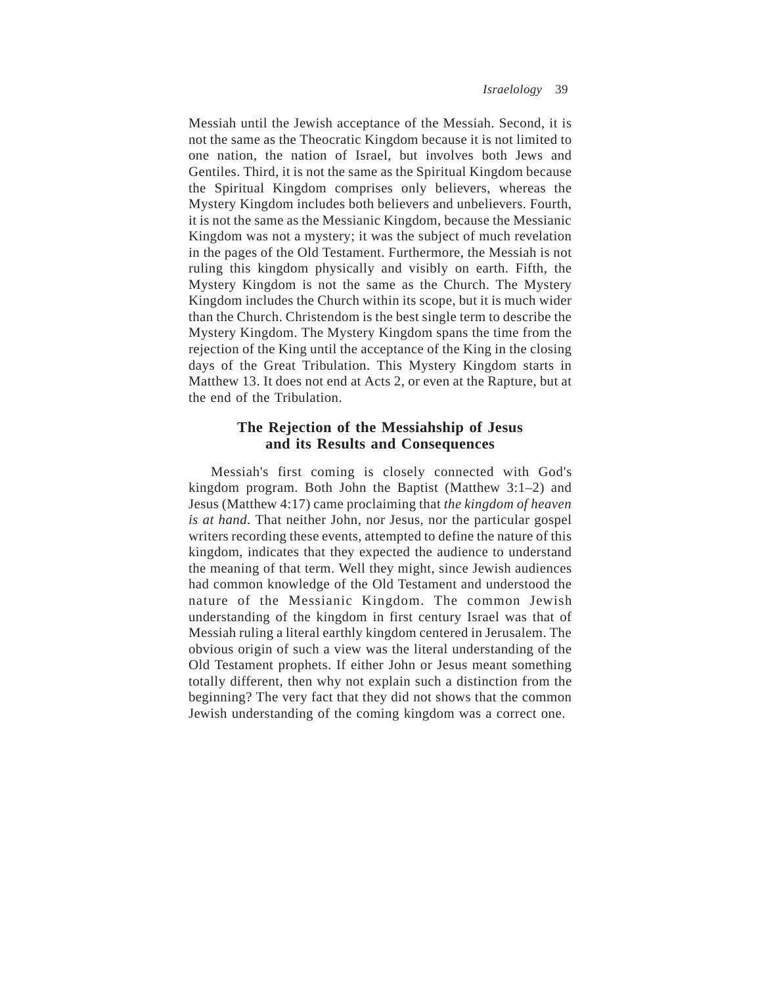Messiah until the Jewish acceptance of the Messiah. Second, it is not the same as the Theocratic Kingdom because it is not limited to one nation, the nation of Israel, but involves both Jews and Gentiles. Third, it is not the same as the Spiritual Kingdom because the Spiritual Kingdom comprises only believers, whereas the Mystery Kingdom includes both believers and unbelievers. Fourth, it is not the same as the Messianic Kingdom, because the Messianic Kingdom was not a mystery; it was the subject of much revelation in the pages of the Old Testament. Furthermore, the Messiah is not ruling this kingdom physically and visibly on earth. Fifth, the Mystery Kingdom is not the same as the Church. The Mystery Kingdom includes the Church within its scope, but it is much wider than the Church. Christendom is the best single term to describe the Mystery Kingdom. The Mystery Kingdom spans the time from the rejection of the King until the acceptance of the King in the closing days of the Great Tribulation. This Mystery Kingdom starts in Matthew 13. It does not end at Acts 2, or even at the Rapture, but at the end of the Tribulation.

# **The Rejection of the Messiahship of Jesus and its Results and Consequences**

Messiah's first coming is closely connected with God's kingdom program. Both John the Baptist (Matthew 3:1–2) and Jesus (Matthew 4:17) came proclaiming that *the kingdom of heaven is at hand*. That neither John, nor Jesus, nor the particular gospel writers recording these events, attempted to define the nature of this kingdom, indicates that they expected the audience to understand the meaning of that term. Well they might, since Jewish audiences had common knowledge of the Old Testament and understood the nature of the Messianic Kingdom. The common Jewish understanding of the kingdom in first century Israel was that of Messiah ruling a literal earthly kingdom centered in Jerusalem. The obvious origin of such a view was the literal understanding of the Old Testament prophets. If either John or Jesus meant something totally different, then why not explain such a distinction from the beginning? The very fact that they did not shows that the common Jewish understanding of the coming kingdom was a correct one.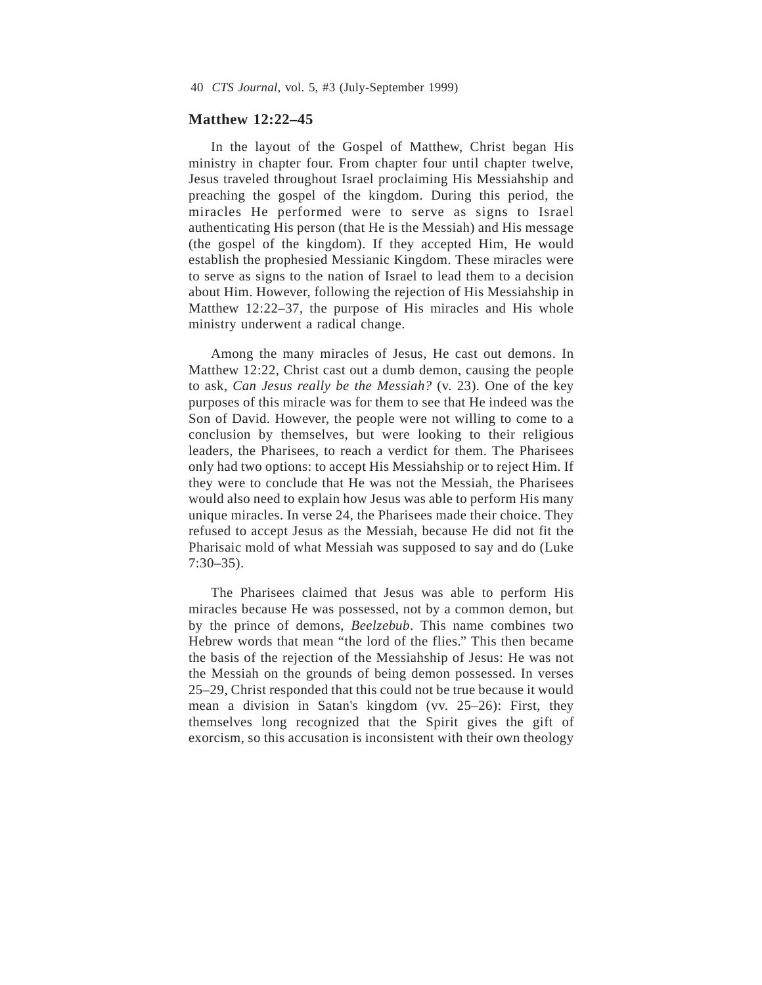## **Matthew 12:22–45**

In the layout of the Gospel of Matthew, Christ began His ministry in chapter four. From chapter four until chapter twelve, Jesus traveled throughout Israel proclaiming His Messiahship and preaching the gospel of the kingdom. During this period, the miracles He performed were to serve as signs to Israel authenticating His person (that He is the Messiah) and His message (the gospel of the kingdom). If they accepted Him, He would establish the prophesied Messianic Kingdom. These miracles were to serve as signs to the nation of Israel to lead them to a decision about Him. However, following the rejection of His Messiahship in Matthew 12:22–37, the purpose of His miracles and His whole ministry underwent a radical change.

Among the many miracles of Jesus, He cast out demons. In Matthew 12:22, Christ cast out a dumb demon, causing the people to ask, *Can Jesus really be the Messiah?* (v. 23). One of the key purposes of this miracle was for them to see that He indeed was the Son of David. However, the people were not willing to come to a conclusion by themselves, but were looking to their religious leaders, the Pharisees, to reach a verdict for them. The Pharisees only had two options: to accept His Messiahship or to reject Him. If they were to conclude that He was not the Messiah, the Pharisees would also need to explain how Jesus was able to perform His many unique miracles. In verse 24, the Pharisees made their choice. They refused to accept Jesus as the Messiah, because He did not fit the Pharisaic mold of what Messiah was supposed to say and do (Luke 7:30–35).

The Pharisees claimed that Jesus was able to perform His miracles because He was possessed, not by a common demon, but by the prince of demons, *Beelzebub*. This name combines two Hebrew words that mean "the lord of the flies." This then became the basis of the rejection of the Messiahship of Jesus: He was not the Messiah on the grounds of being demon possessed. In verses 25–29, Christ responded that this could not be true because it would mean a division in Satan's kingdom (vv. 25–26): First, they themselves long recognized that the Spirit gives the gift of exorcism, so this accusation is inconsistent with their own theology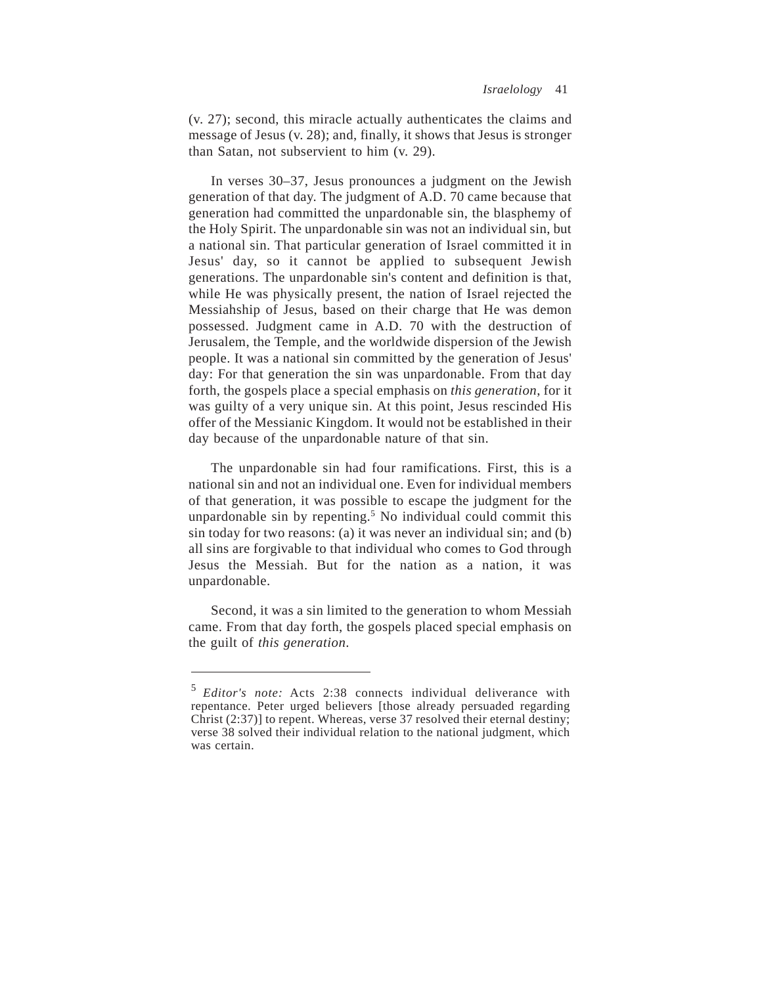(v. 27); second, this miracle actually authenticates the claims and message of Jesus (v. 28); and, finally, it shows that Jesus is stronger than Satan, not subservient to him (v. 29).

In verses 30–37, Jesus pronounces a judgment on the Jewish generation of that day. The judgment of A.D. 70 came because that generation had committed the unpardonable sin, the blasphemy of the Holy Spirit. The unpardonable sin was not an individual sin, but a national sin. That particular generation of Israel committed it in Jesus' day, so it cannot be applied to subsequent Jewish generations. The unpardonable sin's content and definition is that, while He was physically present, the nation of Israel rejected the Messiahship of Jesus, based on their charge that He was demon possessed. Judgment came in A.D. 70 with the destruction of Jerusalem, the Temple, and the worldwide dispersion of the Jewish people. It was a national sin committed by the generation of Jesus' day: For that generation the sin was unpardonable. From that day forth, the gospels place a special emphasis on *this generation*, for it was guilty of a very unique sin. At this point, Jesus rescinded His offer of the Messianic Kingdom. It would not be established in their day because of the unpardonable nature of that sin.

The unpardonable sin had four ramifications. First, this is a national sin and not an individual one. Even for individual members of that generation, it was possible to escape the judgment for the unpardonable sin by repenting.<sup>5</sup> No individual could commit this sin today for two reasons: (a) it was never an individual sin; and (b) all sins are forgivable to that individual who comes to God through Jesus the Messiah. But for the nation as a nation, it was unpardonable.

Second, it was a sin limited to the generation to whom Messiah came. From that day forth, the gospels placed special emphasis on the guilt of *this generation*.

<sup>5</sup> *Editor's note:* Acts 2:38 connects individual deliverance with repentance. Peter urged believers [those already persuaded regarding Christ (2:37)] to repent. Whereas, verse 37 resolved their eternal destiny; verse 38 solved their individual relation to the national judgment, which was certain.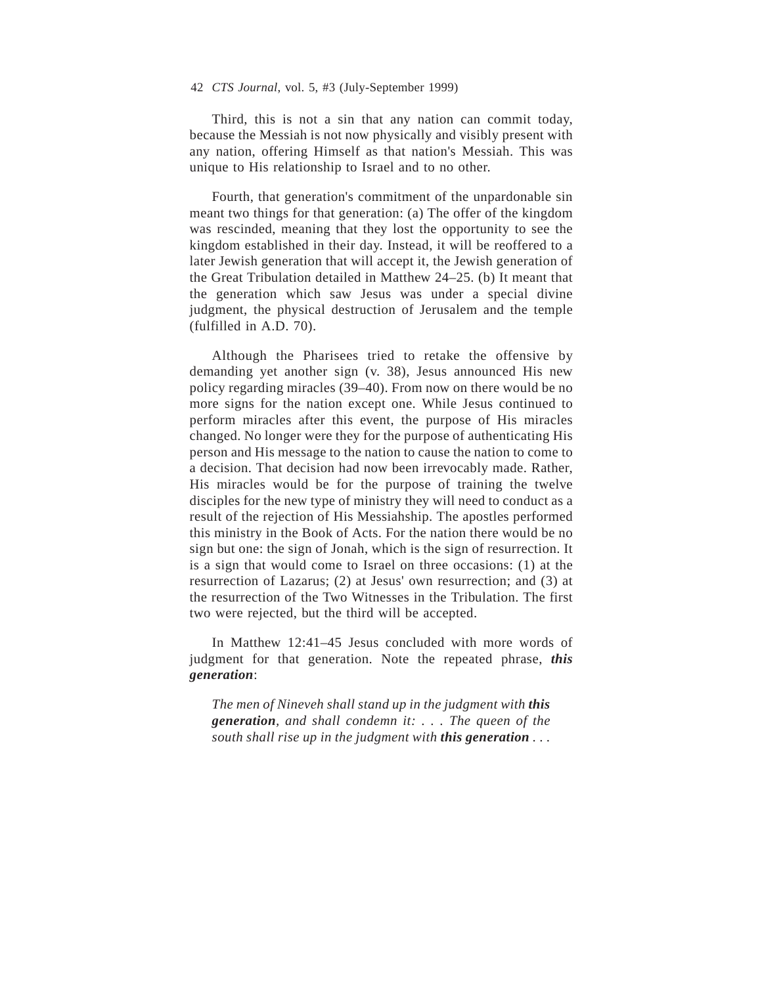Third, this is not a sin that any nation can commit today, because the Messiah is not now physically and visibly present with any nation, offering Himself as that nation's Messiah. This was unique to His relationship to Israel and to no other.

Fourth, that generation's commitment of the unpardonable sin meant two things for that generation: (a) The offer of the kingdom was rescinded, meaning that they lost the opportunity to see the kingdom established in their day. Instead, it will be reoffered to a later Jewish generation that will accept it, the Jewish generation of the Great Tribulation detailed in Matthew 24–25. (b) It meant that the generation which saw Jesus was under a special divine judgment, the physical destruction of Jerusalem and the temple (fulfilled in A.D. 70).

Although the Pharisees tried to retake the offensive by demanding yet another sign (v. 38), Jesus announced His new policy regarding miracles (39–40). From now on there would be no more signs for the nation except one. While Jesus continued to perform miracles after this event, the purpose of His miracles changed. No longer were they for the purpose of authenticating His person and His message to the nation to cause the nation to come to a decision. That decision had now been irrevocably made. Rather, His miracles would be for the purpose of training the twelve disciples for the new type of ministry they will need to conduct as a result of the rejection of His Messiahship. The apostles performed this ministry in the Book of Acts. For the nation there would be no sign but one: the sign of Jonah, which is the sign of resurrection. It is a sign that would come to Israel on three occasions: (1) at the resurrection of Lazarus; (2) at Jesus' own resurrection; and (3) at the resurrection of the Two Witnesses in the Tribulation. The first two were rejected, but the third will be accepted.

In Matthew 12:41–45 Jesus concluded with more words of judgment for that generation. Note the repeated phrase, *this generation*:

*The men of Nineveh shall stand up in the judgment with this generation, and shall condemn it: . . . The queen of the south shall rise up in the judgment with this generation ...*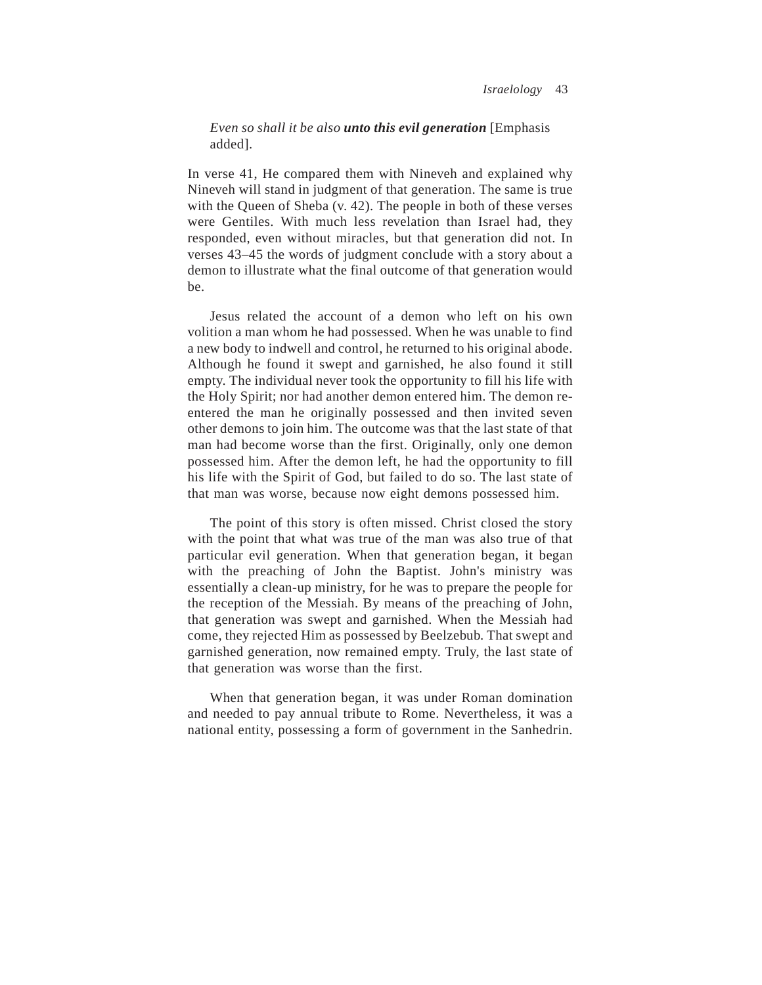## *Even so shall it be also unto this evil generation* [Emphasis added].

In verse 41, He compared them with Nineveh and explained why Nineveh will stand in judgment of that generation. The same is true with the Queen of Sheba (v. 42). The people in both of these verses were Gentiles. With much less revelation than Israel had, they responded, even without miracles, but that generation did not. In verses 43–45 the words of judgment conclude with a story about a demon to illustrate what the final outcome of that generation would be.

Jesus related the account of a demon who left on his own volition a man whom he had possessed. When he was unable to find a new body to indwell and control, he returned to his original abode. Although he found it swept and garnished, he also found it still empty. The individual never took the opportunity to fill his life with the Holy Spirit; nor had another demon entered him. The demon reentered the man he originally possessed and then invited seven other demons to join him. The outcome was that the last state of that man had become worse than the first. Originally, only one demon possessed him. After the demon left, he had the opportunity to fill his life with the Spirit of God, but failed to do so. The last state of that man was worse, because now eight demons possessed him.

The point of this story is often missed. Christ closed the story with the point that what was true of the man was also true of that particular evil generation. When that generation began, it began with the preaching of John the Baptist. John's ministry was essentially a clean-up ministry, for he was to prepare the people for the reception of the Messiah. By means of the preaching of John, that generation was swept and garnished. When the Messiah had come, they rejected Him as possessed by Beelzebub. That swept and garnished generation, now remained empty. Truly, the last state of that generation was worse than the first.

When that generation began, it was under Roman domination and needed to pay annual tribute to Rome. Nevertheless, it was a national entity, possessing a form of government in the Sanhedrin.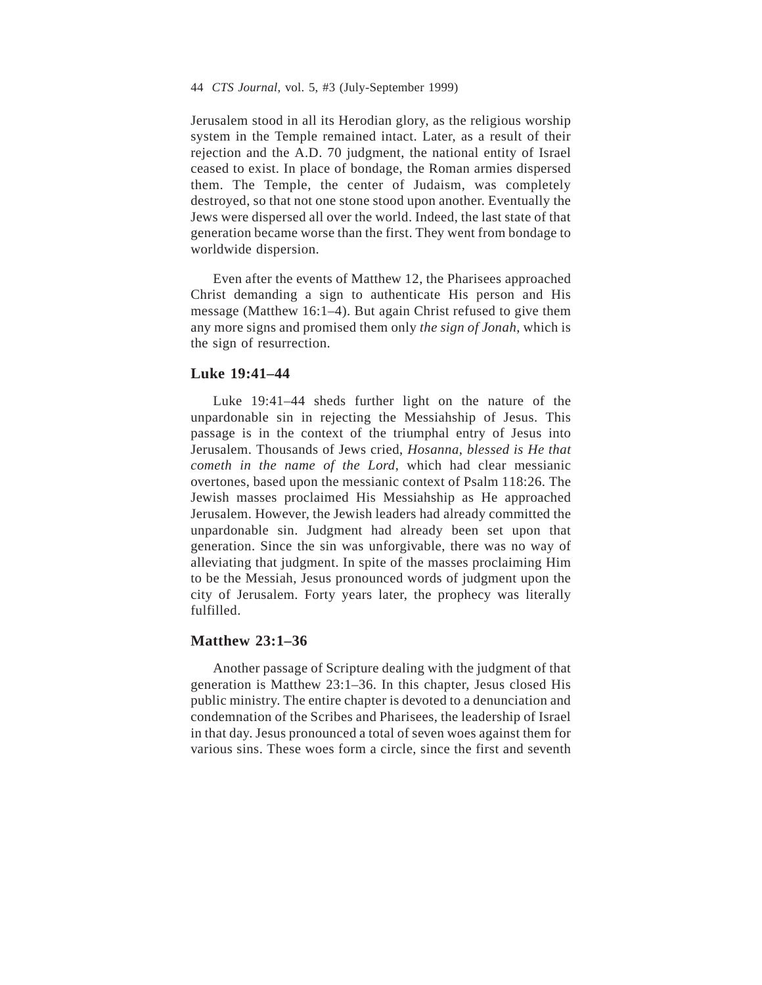Jerusalem stood in all its Herodian glory, as the religious worship system in the Temple remained intact. Later, as a result of their rejection and the A.D. 70 judgment, the national entity of Israel ceased to exist. In place of bondage, the Roman armies dispersed them. The Temple, the center of Judaism, was completely destroyed, so that not one stone stood upon another. Eventually the Jews were dispersed all over the world. Indeed, the last state of that generation became worse than the first. They went from bondage to worldwide dispersion.

Even after the events of Matthew 12, the Pharisees approached Christ demanding a sign to authenticate His person and His message (Matthew 16:1–4). But again Christ refused to give them any more signs and promised them only *the sign of Jonah*, which is the sign of resurrection.

## **Luke 19:41–44**

Luke 19:41–44 sheds further light on the nature of the unpardonable sin in rejecting the Messiahship of Jesus. This passage is in the context of the triumphal entry of Jesus into Jerusalem. Thousands of Jews cried, *Hosanna, blessed is He that cometh in the name of the Lord*, which had clear messianic overtones, based upon the messianic context of Psalm 118:26. The Jewish masses proclaimed His Messiahship as He approached Jerusalem. However, the Jewish leaders had already committed the unpardonable sin. Judgment had already been set upon that generation. Since the sin was unforgivable, there was no way of alleviating that judgment. In spite of the masses proclaiming Him to be the Messiah, Jesus pronounced words of judgment upon the city of Jerusalem. Forty years later, the prophecy was literally fulfilled.

#### **Matthew 23:1–36**

Another passage of Scripture dealing with the judgment of that generation is Matthew 23:1–36. In this chapter, Jesus closed His public ministry. The entire chapter is devoted to a denunciation and condemnation of the Scribes and Pharisees, the leadership of Israel in that day. Jesus pronounced a total of seven woes against them for various sins. These woes form a circle, since the first and seventh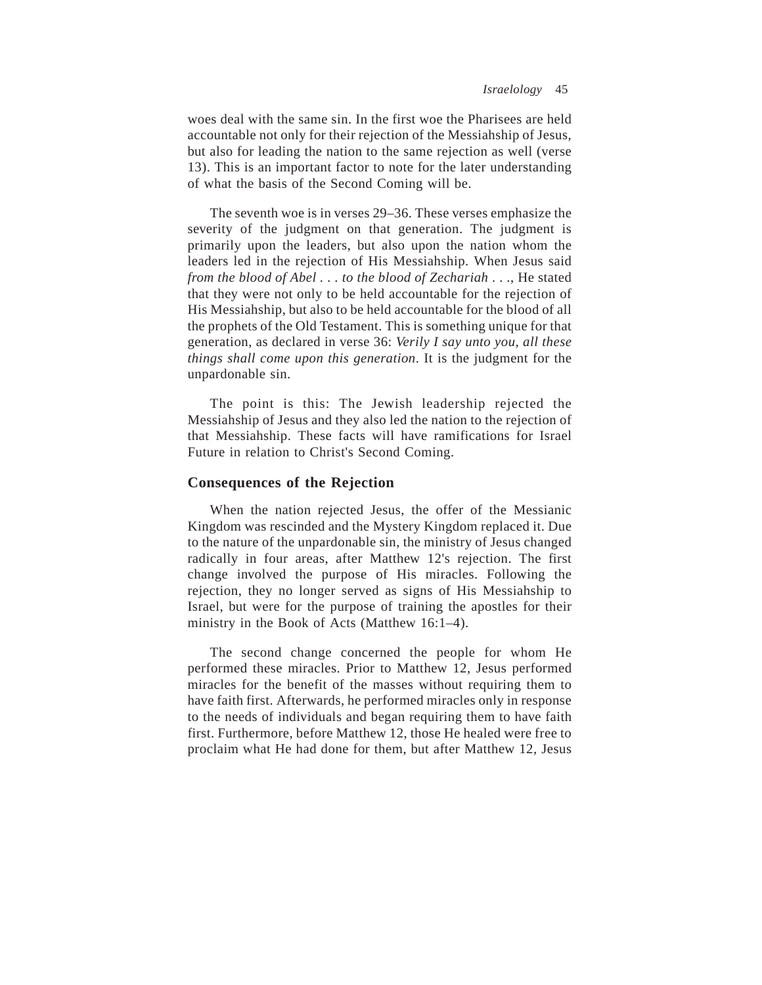woes deal with the same sin. In the first woe the Pharisees are held accountable not only for their rejection of the Messiahship of Jesus, but also for leading the nation to the same rejection as well (verse 13). This is an important factor to note for the later understanding of what the basis of the Second Coming will be.

The seventh woe is in verses 29–36. These verses emphasize the severity of the judgment on that generation. The judgment is primarily upon the leaders, but also upon the nation whom the leaders led in the rejection of His Messiahship. When Jesus said *from the blood of Abel . . . to the blood of Zechariah* . . ., He stated that they were not only to be held accountable for the rejection of His Messiahship, but also to be held accountable for the blood of all the prophets of the Old Testament. This is something unique for that generation, as declared in verse 36: *Verily I say unto you, all these things shall come upon this generation*. It is the judgment for the unpardonable sin.

The point is this: The Jewish leadership rejected the Messiahship of Jesus and they also led the nation to the rejection of that Messiahship. These facts will have ramifications for Israel Future in relation to Christ's Second Coming.

### **Consequences of the Rejection**

When the nation rejected Jesus, the offer of the Messianic Kingdom was rescinded and the Mystery Kingdom replaced it. Due to the nature of the unpardonable sin, the ministry of Jesus changed radically in four areas, after Matthew 12's rejection. The first change involved the purpose of His miracles. Following the rejection, they no longer served as signs of His Messiahship to Israel, but were for the purpose of training the apostles for their ministry in the Book of Acts (Matthew 16:1–4).

The second change concerned the people for whom He performed these miracles. Prior to Matthew 12, Jesus performed miracles for the benefit of the masses without requiring them to have faith first. Afterwards, he performed miracles only in response to the needs of individuals and began requiring them to have faith first. Furthermore, before Matthew 12, those He healed were free to proclaim what He had done for them, but after Matthew 12, Jesus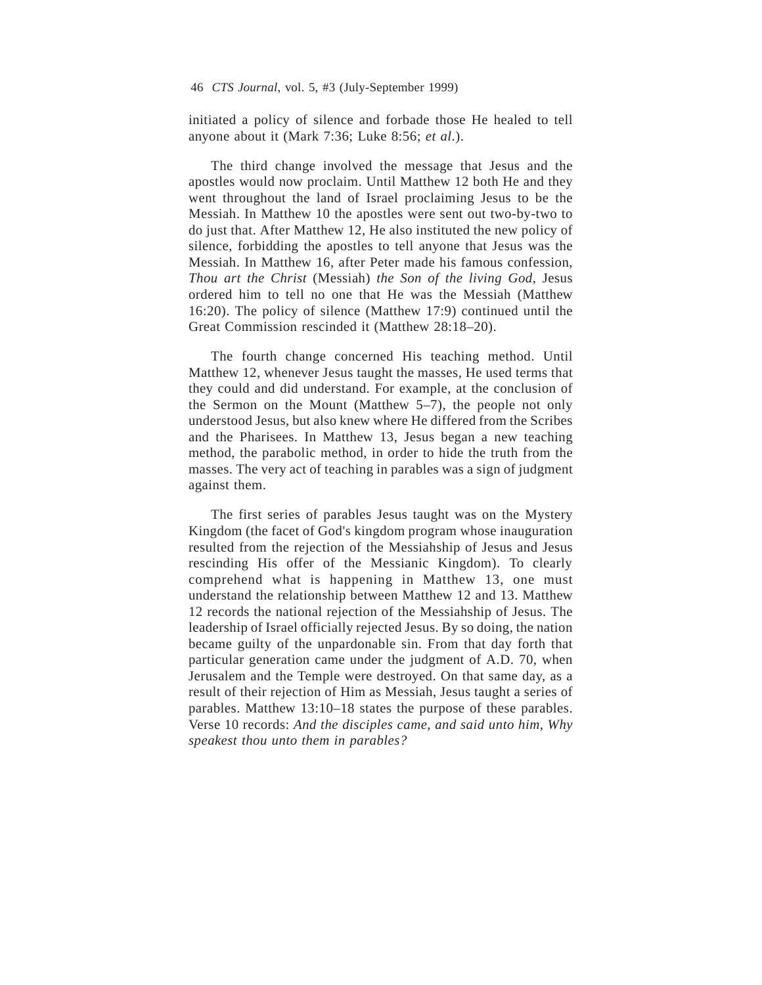initiated a policy of silence and forbade those He healed to tell anyone about it (Mark 7:36; Luke 8:56; *et al*.).

The third change involved the message that Jesus and the apostles would now proclaim. Until Matthew 12 both He and they went throughout the land of Israel proclaiming Jesus to be the Messiah. In Matthew 10 the apostles were sent out two-by-two to do just that. After Matthew 12, He also instituted the new policy of silence, forbidding the apostles to tell anyone that Jesus was the Messiah. In Matthew 16, after Peter made his famous confession, *Thou art the Christ* (Messiah) *the Son of the living God*, Jesus ordered him to tell no one that He was the Messiah (Matthew 16:20). The policy of silence (Matthew 17:9) continued until the Great Commission rescinded it (Matthew 28:18–20).

The fourth change concerned His teaching method. Until Matthew 12, whenever Jesus taught the masses, He used terms that they could and did understand. For example, at the conclusion of the Sermon on the Mount (Matthew 5–7), the people not only understood Jesus, but also knew where He differed from the Scribes and the Pharisees. In Matthew 13, Jesus began a new teaching method, the parabolic method, in order to hide the truth from the masses. The very act of teaching in parables was a sign of judgment against them.

The first series of parables Jesus taught was on the Mystery Kingdom (the facet of God's kingdom program whose inauguration resulted from the rejection of the Messiahship of Jesus and Jesus rescinding His offer of the Messianic Kingdom). To clearly comprehend what is happening in Matthew 13, one must understand the relationship between Matthew 12 and 13. Matthew 12 records the national rejection of the Messiahship of Jesus. The leadership of Israel officially rejected Jesus. By so doing, the nation became guilty of the unpardonable sin. From that day forth that particular generation came under the judgment of A.D. 70, when Jerusalem and the Temple were destroyed. On that same day, as a result of their rejection of Him as Messiah, Jesus taught a series of parables. Matthew 13:10–18 states the purpose of these parables. Verse 10 records: *And the disciples came, and said unto him, Why speakest thou unto them in parables?*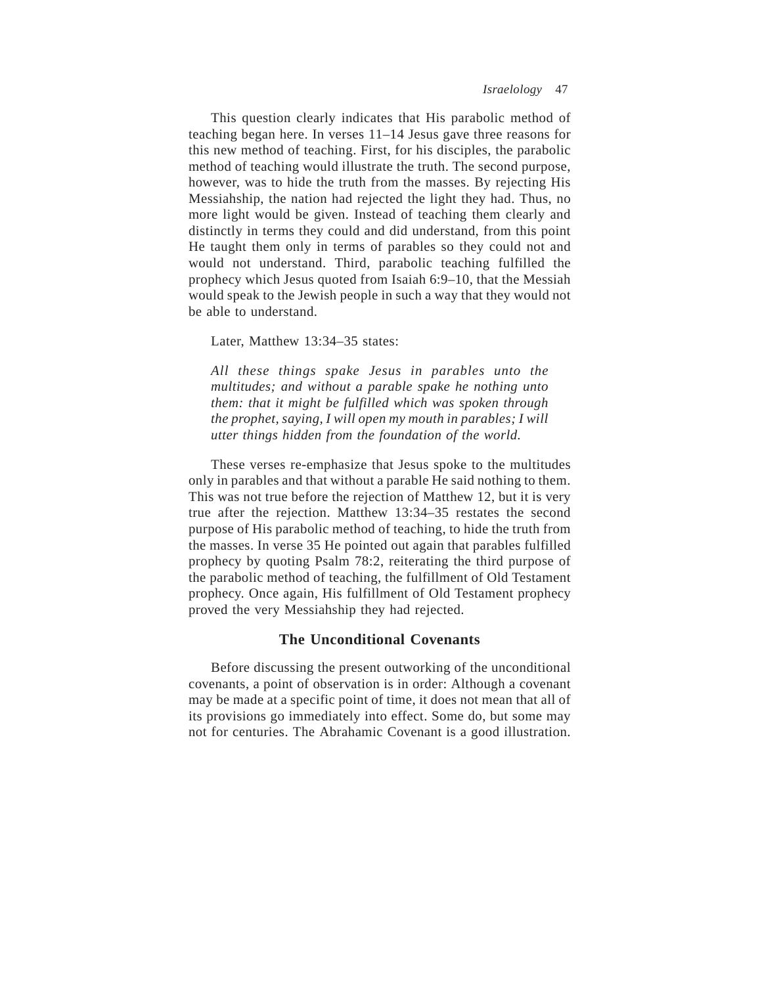This question clearly indicates that His parabolic method of teaching began here. In verses 11–14 Jesus gave three reasons for this new method of teaching. First, for his disciples, the parabolic method of teaching would illustrate the truth. The second purpose, however, was to hide the truth from the masses. By rejecting His Messiahship, the nation had rejected the light they had. Thus, no more light would be given. Instead of teaching them clearly and distinctly in terms they could and did understand, from this point He taught them only in terms of parables so they could not and would not understand. Third, parabolic teaching fulfilled the prophecy which Jesus quoted from Isaiah 6:9–10, that the Messiah would speak to the Jewish people in such a way that they would not be able to understand.

Later, Matthew 13:34–35 states:

*All these things spake Jesus in parables unto the multitudes; and without a parable spake he nothing unto them: that it might be fulfilled which was spoken through the prophet, saying, I will open my mouth in parables; I will utter things hidden from the foundation of the world.*

These verses re-emphasize that Jesus spoke to the multitudes only in parables and that without a parable He said nothing to them. This was not true before the rejection of Matthew 12, but it is very true after the rejection. Matthew 13:34–35 restates the second purpose of His parabolic method of teaching, to hide the truth from the masses. In verse 35 He pointed out again that parables fulfilled prophecy by quoting Psalm 78:2, reiterating the third purpose of the parabolic method of teaching, the fulfillment of Old Testament prophecy. Once again, His fulfillment of Old Testament prophecy proved the very Messiahship they had rejected.

### **The Unconditional Covenants**

Before discussing the present outworking of the unconditional covenants, a point of observation is in order: Although a covenant may be made at a specific point of time, it does not mean that all of its provisions go immediately into effect. Some do, but some may not for centuries. The Abrahamic Covenant is a good illustration.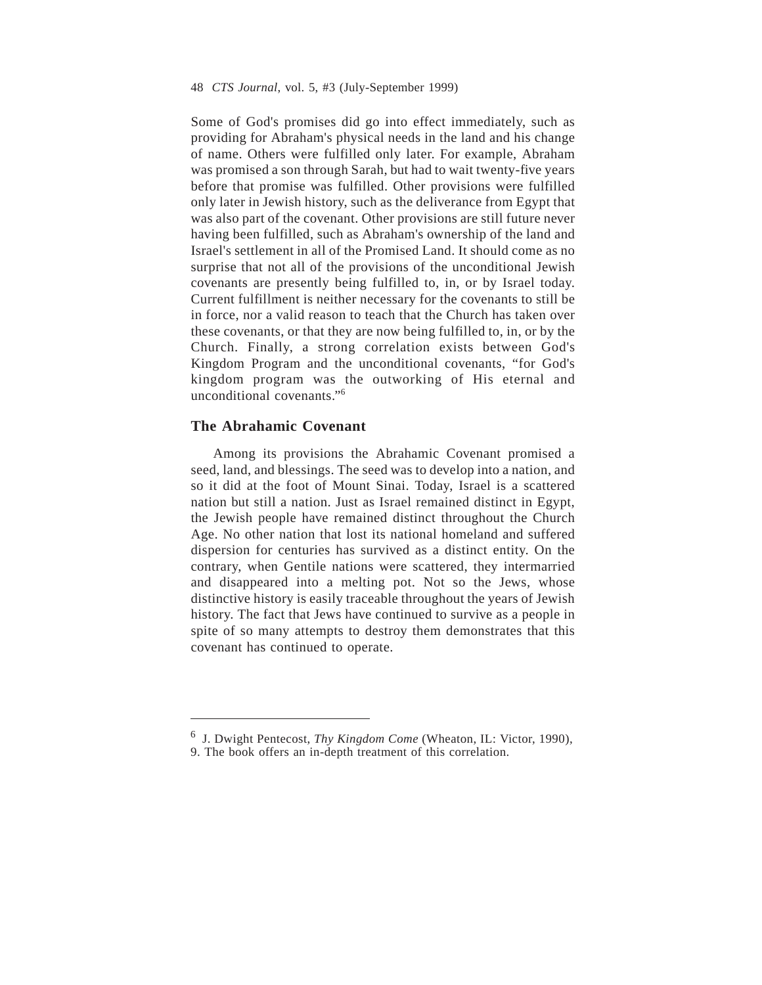Some of God's promises did go into effect immediately, such as providing for Abraham's physical needs in the land and his change of name. Others were fulfilled only later. For example, Abraham was promised a son through Sarah, but had to wait twenty-five years before that promise was fulfilled. Other provisions were fulfilled only later in Jewish history, such as the deliverance from Egypt that was also part of the covenant. Other provisions are still future never having been fulfilled, such as Abraham's ownership of the land and Israel's settlement in all of the Promised Land. It should come as no surprise that not all of the provisions of the unconditional Jewish covenants are presently being fulfilled to, in, or by Israel today. Current fulfillment is neither necessary for the covenants to still be in force, nor a valid reason to teach that the Church has taken over these covenants, or that they are now being fulfilled to, in, or by the Church. Finally, a strong correlation exists between God's Kingdom Program and the unconditional covenants, "for God's kingdom program was the outworking of His eternal and unconditional covenants."6

## **The Abrahamic Covenant**

Among its provisions the Abrahamic Covenant promised a seed, land, and blessings. The seed was to develop into a nation, and so it did at the foot of Mount Sinai. Today, Israel is a scattered nation but still a nation. Just as Israel remained distinct in Egypt, the Jewish people have remained distinct throughout the Church Age. No other nation that lost its national homeland and suffered dispersion for centuries has survived as a distinct entity. On the contrary, when Gentile nations were scattered, they intermarried and disappeared into a melting pot. Not so the Jews, whose distinctive history is easily traceable throughout the years of Jewish history. The fact that Jews have continued to survive as a people in spite of so many attempts to destroy them demonstrates that this covenant has continued to operate.

<sup>6</sup> J. Dwight Pentecost, *Thy Kingdom Come* (Wheaton, IL: Victor, 1990),

<sup>9.</sup> The book offers an in-depth treatment of this correlation.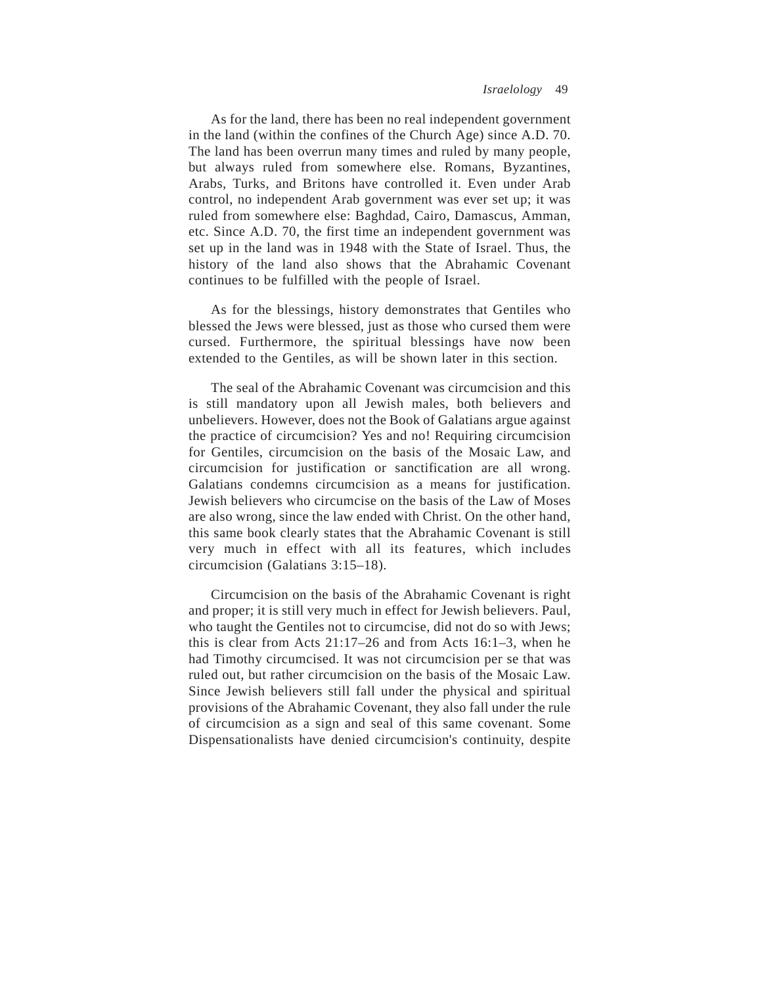As for the land, there has been no real independent government in the land (within the confines of the Church Age) since A.D. 70. The land has been overrun many times and ruled by many people, but always ruled from somewhere else. Romans, Byzantines, Arabs, Turks, and Britons have controlled it. Even under Arab control, no independent Arab government was ever set up; it was ruled from somewhere else: Baghdad, Cairo, Damascus, Amman, etc. Since A.D. 70, the first time an independent government was set up in the land was in 1948 with the State of Israel. Thus, the history of the land also shows that the Abrahamic Covenant continues to be fulfilled with the people of Israel.

As for the blessings, history demonstrates that Gentiles who blessed the Jews were blessed, just as those who cursed them were cursed. Furthermore, the spiritual blessings have now been extended to the Gentiles, as will be shown later in this section.

The seal of the Abrahamic Covenant was circumcision and this is still mandatory upon all Jewish males, both believers and unbelievers. However, does not the Book of Galatians argue against the practice of circumcision? Yes and no! Requiring circumcision for Gentiles, circumcision on the basis of the Mosaic Law, and circumcision for justification or sanctification are all wrong. Galatians condemns circumcision as a means for justification. Jewish believers who circumcise on the basis of the Law of Moses are also wrong, since the law ended with Christ. On the other hand, this same book clearly states that the Abrahamic Covenant is still very much in effect with all its features, which includes circumcision (Galatians 3:15–18).

Circumcision on the basis of the Abrahamic Covenant is right and proper; it is still very much in effect for Jewish believers. Paul, who taught the Gentiles not to circumcise, did not do so with Jews; this is clear from Acts 21:17–26 and from Acts 16:1–3, when he had Timothy circumcised. It was not circumcision per se that was ruled out, but rather circumcision on the basis of the Mosaic Law. Since Jewish believers still fall under the physical and spiritual provisions of the Abrahamic Covenant, they also fall under the rule of circumcision as a sign and seal of this same covenant. Some Dispensationalists have denied circumcision's continuity, despite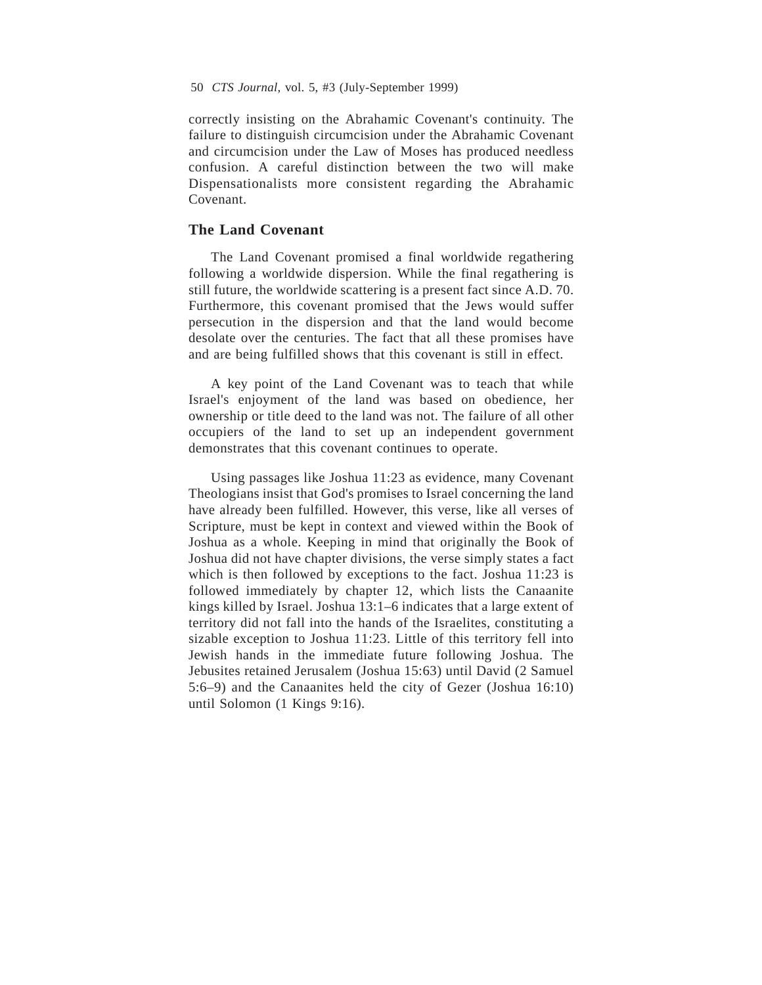correctly insisting on the Abrahamic Covenant's continuity. The failure to distinguish circumcision under the Abrahamic Covenant and circumcision under the Law of Moses has produced needless confusion. A careful distinction between the two will make Dispensationalists more consistent regarding the Abrahamic Covenant.

#### **The Land Covenant**

The Land Covenant promised a final worldwide regathering following a worldwide dispersion. While the final regathering is still future, the worldwide scattering is a present fact since A.D. 70. Furthermore, this covenant promised that the Jews would suffer persecution in the dispersion and that the land would become desolate over the centuries. The fact that all these promises have and are being fulfilled shows that this covenant is still in effect.

A key point of the Land Covenant was to teach that while Israel's enjoyment of the land was based on obedience, her ownership or title deed to the land was not. The failure of all other occupiers of the land to set up an independent government demonstrates that this covenant continues to operate.

Using passages like Joshua 11:23 as evidence, many Covenant Theologians insist that God's promises to Israel concerning the land have already been fulfilled. However, this verse, like all verses of Scripture, must be kept in context and viewed within the Book of Joshua as a whole. Keeping in mind that originally the Book of Joshua did not have chapter divisions, the verse simply states a fact which is then followed by exceptions to the fact. Joshua 11:23 is followed immediately by chapter 12, which lists the Canaanite kings killed by Israel. Joshua 13:1–6 indicates that a large extent of territory did not fall into the hands of the Israelites, constituting a sizable exception to Joshua 11:23. Little of this territory fell into Jewish hands in the immediate future following Joshua. The Jebusites retained Jerusalem (Joshua 15:63) until David (2 Samuel 5:6–9) and the Canaanites held the city of Gezer (Joshua 16:10) until Solomon (1 Kings 9:16).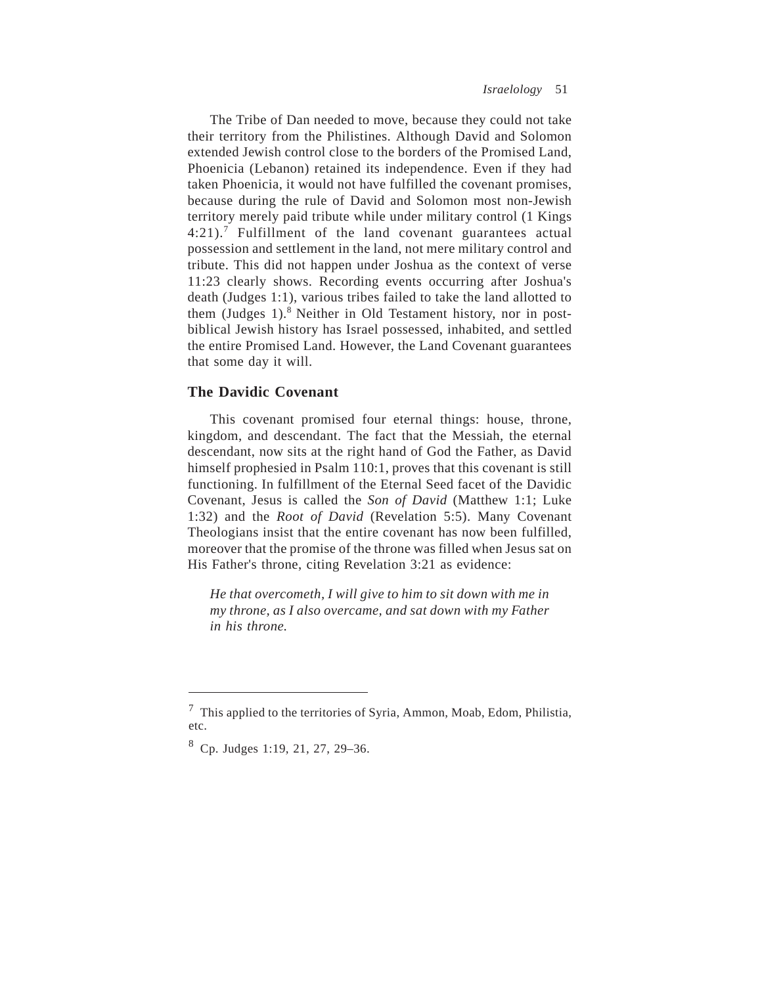The Tribe of Dan needed to move, because they could not take their territory from the Philistines. Although David and Solomon extended Jewish control close to the borders of the Promised Land, Phoenicia (Lebanon) retained its independence. Even if they had taken Phoenicia, it would not have fulfilled the covenant promises, because during the rule of David and Solomon most non-Jewish territory merely paid tribute while under military control (1 Kings  $4:21$ ).<sup>7</sup> Fulfillment of the land covenant guarantees actual possession and settlement in the land, not mere military control and tribute. This did not happen under Joshua as the context of verse 11:23 clearly shows. Recording events occurring after Joshua's death (Judges 1:1), various tribes failed to take the land allotted to them (Judges 1).<sup>8</sup> Neither in Old Testament history, nor in postbiblical Jewish history has Israel possessed, inhabited, and settled the entire Promised Land. However, the Land Covenant guarantees that some day it will.

# **The Davidic Covenant**

This covenant promised four eternal things: house, throne, kingdom, and descendant. The fact that the Messiah, the eternal descendant, now sits at the right hand of God the Father, as David himself prophesied in Psalm 110:1, proves that this covenant is still functioning. In fulfillment of the Eternal Seed facet of the Davidic Covenant, Jesus is called the *Son of David* (Matthew 1:1; Luke 1:32) and the *Root of David* (Revelation 5:5). Many Covenant Theologians insist that the entire covenant has now been fulfilled, moreover that the promise of the throne was filled when Jesus sat on His Father's throne, citing Revelation 3:21 as evidence:

*He that overcometh, I will give to him to sit down with me in my throne, as I also overcame, and sat down with my Father in his throne.*

<sup>7</sup> This applied to the territories of Syria, Ammon, Moab, Edom, Philistia, etc.

 $8$  Cp. Judges 1:19, 21, 27, 29–36.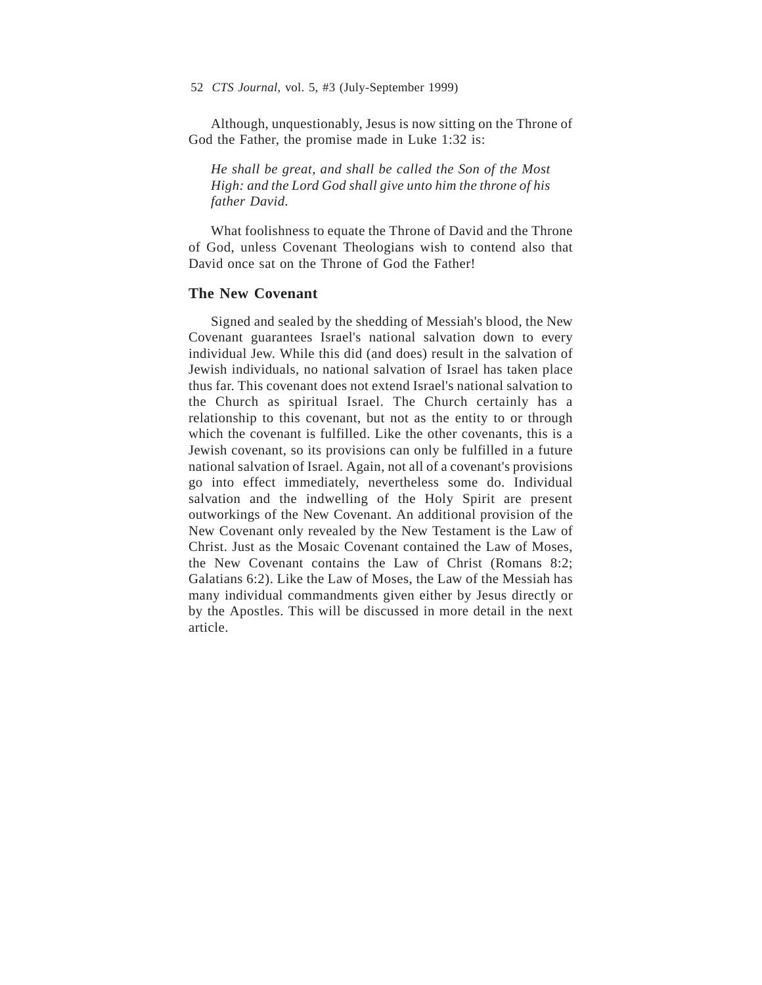Although, unquestionably, Jesus is now sitting on the Throne of God the Father, the promise made in Luke 1:32 is:

*He shall be great, and shall be called the Son of the Most High: and the Lord God shall give unto him the throne of his father David.*

What foolishness to equate the Throne of David and the Throne of God, unless Covenant Theologians wish to contend also that David once sat on the Throne of God the Father!

## **The New Covenant**

Signed and sealed by the shedding of Messiah's blood, the New Covenant guarantees Israel's national salvation down to every individual Jew. While this did (and does) result in the salvation of Jewish individuals, no national salvation of Israel has taken place thus far. This covenant does not extend Israel's national salvation to the Church as spiritual Israel. The Church certainly has a relationship to this covenant, but not as the entity to or through which the covenant is fulfilled. Like the other covenants, this is a Jewish covenant, so its provisions can only be fulfilled in a future national salvation of Israel. Again, not all of a covenant's provisions go into effect immediately, nevertheless some do. Individual salvation and the indwelling of the Holy Spirit are present outworkings of the New Covenant. An additional provision of the New Covenant only revealed by the New Testament is the Law of Christ. Just as the Mosaic Covenant contained the Law of Moses, the New Covenant contains the Law of Christ (Romans 8:2; Galatians 6:2). Like the Law of Moses, the Law of the Messiah has many individual commandments given either by Jesus directly or by the Apostles. This will be discussed in more detail in the next article.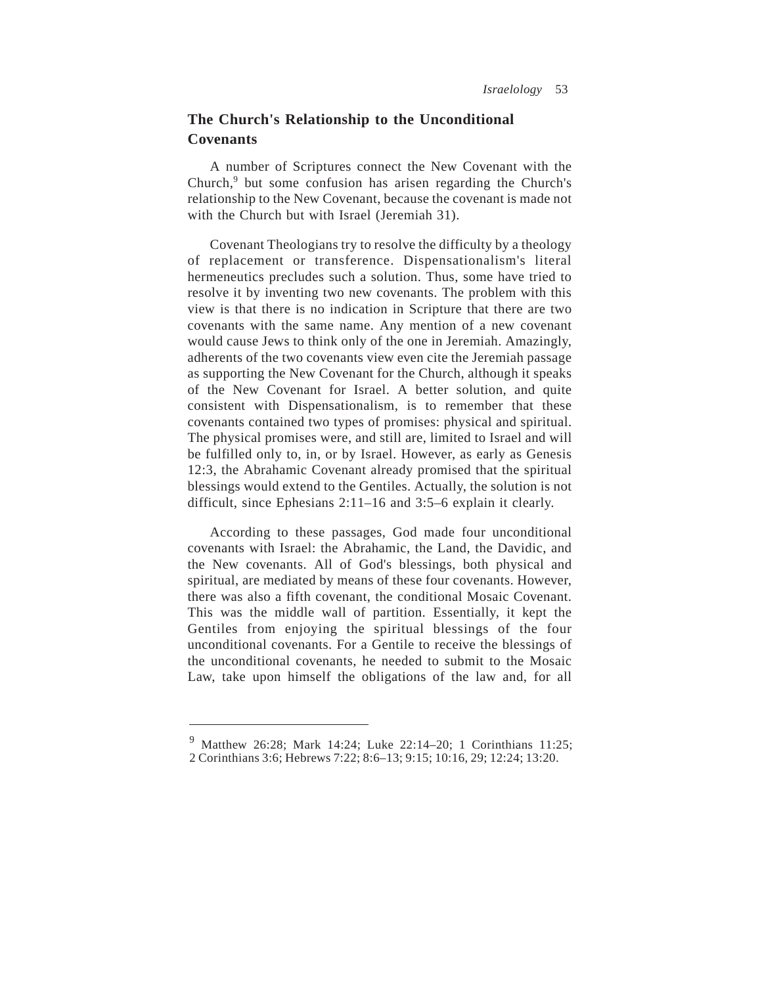# **The Church's Relationship to the Unconditional Covenants**

A number of Scriptures connect the New Covenant with the Church,<sup>9</sup> but some confusion has arisen regarding the Church's relationship to the New Covenant, because the covenant is made not with the Church but with Israel (Jeremiah 31).

Covenant Theologians try to resolve the difficulty by a theology of replacement or transference. Dispensationalism's literal hermeneutics precludes such a solution. Thus, some have tried to resolve it by inventing two new covenants. The problem with this view is that there is no indication in Scripture that there are two covenants with the same name. Any mention of a new covenant would cause Jews to think only of the one in Jeremiah. Amazingly, adherents of the two covenants view even cite the Jeremiah passage as supporting the New Covenant for the Church, although it speaks of the New Covenant for Israel. A better solution, and quite consistent with Dispensationalism, is to remember that these covenants contained two types of promises: physical and spiritual. The physical promises were, and still are, limited to Israel and will be fulfilled only to, in, or by Israel. However, as early as Genesis 12:3, the Abrahamic Covenant already promised that the spiritual blessings would extend to the Gentiles. Actually, the solution is not difficult, since Ephesians 2:11–16 and 3:5–6 explain it clearly.

According to these passages, God made four unconditional covenants with Israel: the Abrahamic, the Land, the Davidic, and the New covenants. All of God's blessings, both physical and spiritual, are mediated by means of these four covenants. However, there was also a fifth covenant, the conditional Mosaic Covenant. This was the middle wall of partition. Essentially, it kept the Gentiles from enjoying the spiritual blessings of the four unconditional covenants. For a Gentile to receive the blessings of the unconditional covenants, he needed to submit to the Mosaic Law, take upon himself the obligations of the law and, for all

<sup>9</sup> Matthew 26:28; Mark 14:24; Luke 22:14–20; 1 Corinthians 11:25; 2 Corinthians 3:6; Hebrews 7:22; 8:6–13; 9:15; 10:16, 29; 12:24; 13:20.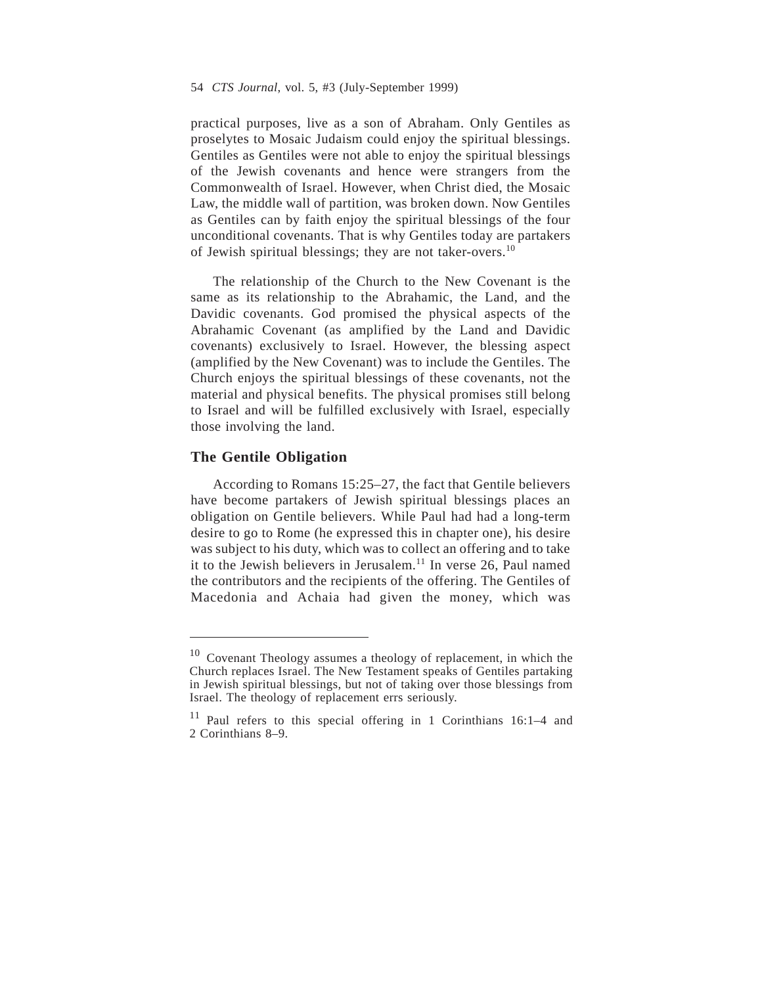practical purposes, live as a son of Abraham. Only Gentiles as proselytes to Mosaic Judaism could enjoy the spiritual blessings. Gentiles as Gentiles were not able to enjoy the spiritual blessings of the Jewish covenants and hence were strangers from the Commonwealth of Israel. However, when Christ died, the Mosaic Law, the middle wall of partition, was broken down. Now Gentiles as Gentiles can by faith enjoy the spiritual blessings of the four unconditional covenants. That is why Gentiles today are partakers of Jewish spiritual blessings; they are not taker-overs.10

The relationship of the Church to the New Covenant is the same as its relationship to the Abrahamic, the Land, and the Davidic covenants. God promised the physical aspects of the Abrahamic Covenant (as amplified by the Land and Davidic covenants) exclusively to Israel. However, the blessing aspect (amplified by the New Covenant) was to include the Gentiles. The Church enjoys the spiritual blessings of these covenants, not the material and physical benefits. The physical promises still belong to Israel and will be fulfilled exclusively with Israel, especially those involving the land.

#### **The Gentile Obligation**

According to Romans 15:25–27, the fact that Gentile believers have become partakers of Jewish spiritual blessings places an obligation on Gentile believers. While Paul had had a long-term desire to go to Rome (he expressed this in chapter one), his desire was subject to his duty, which was to collect an offering and to take it to the Jewish believers in Jerusalem.<sup>11</sup> In verse 26, Paul named the contributors and the recipients of the offering. The Gentiles of Macedonia and Achaia had given the money, which was

<sup>10</sup> Covenant Theology assumes a theology of replacement, in which the Church replaces Israel. The New Testament speaks of Gentiles partaking in Jewish spiritual blessings, but not of taking over those blessings from Israel. The theology of replacement errs seriously.

 $11$  Paul refers to this special offering in 1 Corinthians 16:1–4 and 2 Corinthians 8–9.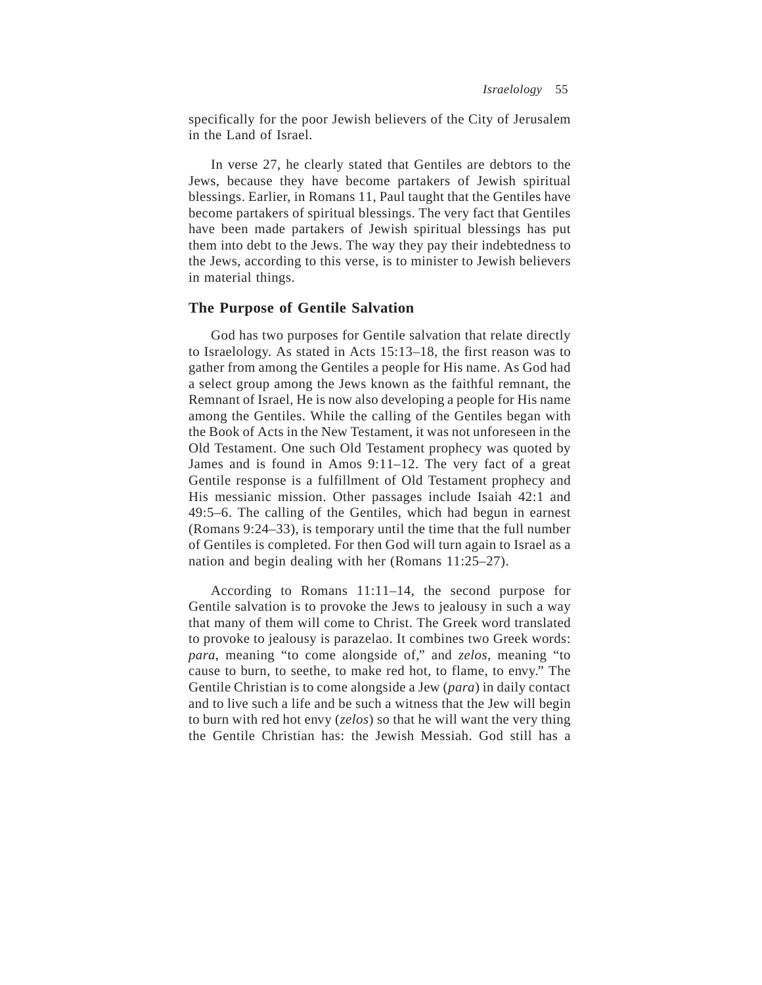specifically for the poor Jewish believers of the City of Jerusalem in the Land of Israel.

In verse 27, he clearly stated that Gentiles are debtors to the Jews, because they have become partakers of Jewish spiritual blessings. Earlier, in Romans 11, Paul taught that the Gentiles have become partakers of spiritual blessings. The very fact that Gentiles have been made partakers of Jewish spiritual blessings has put them into debt to the Jews. The way they pay their indebtedness to the Jews, according to this verse, is to minister to Jewish believers in material things.

### **The Purpose of Gentile Salvation**

God has two purposes for Gentile salvation that relate directly to Israelology. As stated in Acts 15:13–18, the first reason was to gather from among the Gentiles a people for His name. As God had a select group among the Jews known as the faithful remnant, the Remnant of Israel, He is now also developing a people for His name among the Gentiles. While the calling of the Gentiles began with the Book of Acts in the New Testament, it was not unforeseen in the Old Testament. One such Old Testament prophecy was quoted by James and is found in Amos 9:11–12. The very fact of a great Gentile response is a fulfillment of Old Testament prophecy and His messianic mission. Other passages include Isaiah 42:1 and 49:5–6. The calling of the Gentiles, which had begun in earnest (Romans 9:24–33), is temporary until the time that the full number of Gentiles is completed. For then God will turn again to Israel as a nation and begin dealing with her (Romans 11:25–27).

According to Romans 11:11–14, the second purpose for Gentile salvation is to provoke the Jews to jealousy in such a way that many of them will come to Christ. The Greek word translated to provoke to jealousy is parazelao. It combines two Greek words: *para*, meaning "to come alongside of," and *zelos*, meaning "to cause to burn, to seethe, to make red hot, to flame, to envy." The Gentile Christian is to come alongside a Jew (*para*) in daily contact and to live such a life and be such a witness that the Jew will begin to burn with red hot envy (*zelos*) so that he will want the very thing the Gentile Christian has: the Jewish Messiah. God still has a